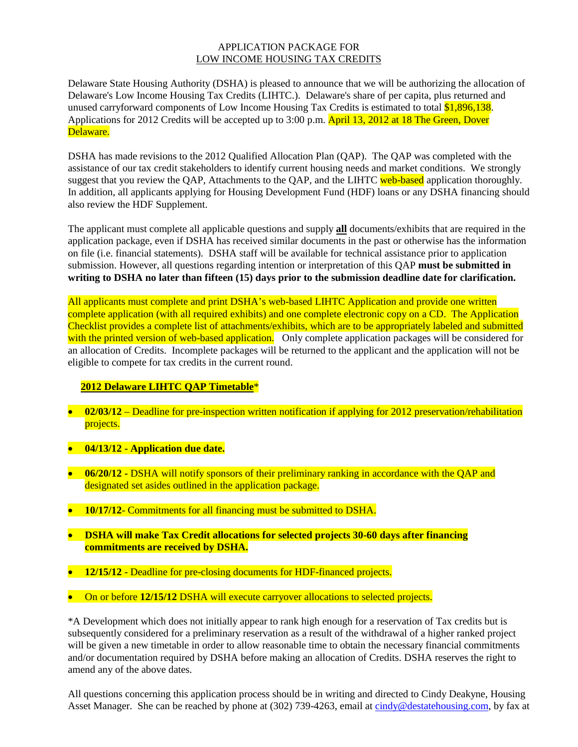## APPLICATION PACKAGE FOR LOW INCOME HOUSING TAX CREDITS

Delaware State Housing Authority (DSHA) is pleased to announce that we will be authorizing the allocation of Delaware's Low Income Housing Tax Credits (LIHTC.). Delaware's share of per capita, plus returned and unused carryforward components of Low Income Housing Tax Credits is estimated to total \$1,896,138. Applications for 2012 Credits will be accepted up to 3:00 p.m. **April 13, 2012 at 18 The Green, Dover** Delaware.

DSHA has made revisions to the 2012 Qualified Allocation Plan (QAP). The QAP was completed with the assistance of our tax credit stakeholders to identify current housing needs and market conditions. We strongly suggest that you review the QAP, Attachments to the QAP, and the LIHTC web-based application thoroughly. In addition, all applicants applying for Housing Development Fund (HDF) loans or any DSHA financing should also review the HDF Supplement.

The applicant must complete all applicable questions and supply **all** documents/exhibits that are required in the application package, even if DSHA has received similar documents in the past or otherwise has the information on file (i.e. financial statements). DSHA staff will be available for technical assistance prior to application submission. However, all questions regarding intention or interpretation of this QAP **must be submitted in writing to DSHA no later than fifteen (15) days prior to the submission deadline date for clarification.** 

All applicants must complete and print DSHA's web-based LIHTC Application and provide one written complete application (with all required exhibits) and one complete electronic copy on a CD. The Application Checklist provides a complete list of attachments/exhibits, which are to be appropriately labeled and submitted with the printed version of web-based application. Only complete application packages will be considered for an allocation of Credits. Incomplete packages will be returned to the applicant and the application will not be eligible to compete for tax credits in the current round.

## **2012 Delaware LIHTC QAP Timetable**\*

- **02/03/12** Deadline for pre-inspection written notification if applying for 2012 preservation/rehabilitation projects.
- **04/13/12 - Application due date.**
- **06/20/12 -** DSHA will notify sponsors of their preliminary ranking in accordance with the QAP and designated set asides outlined in the application package.
- **10/17/12-** Commitments for all financing must be submitted to DSHA.
- **DSHA will make Tax Credit allocations for selected projects 30-60 days after financing commitments are received by DSHA.**
- **12/15/12** Deadline for pre-closing documents for HDF-financed projects.
- On or before 12/15/12 DSHA will execute carryover allocations to selected projects.

\*A Development which does not initially appear to rank high enough for a reservation of Tax credits but is subsequently considered for a preliminary reservation as a result of the withdrawal of a higher ranked project will be given a new timetable in order to allow reasonable time to obtain the necessary financial commitments and/or documentation required by DSHA before making an allocation of Credits. DSHA reserves the right to amend any of the above dates.

All questions concerning this application process should be in writing and directed to Cindy Deakyne, Housing Asset Manager. She can be reached by phone at (302) 739-4263, email at [cindy@destatehousing.com,](mailto:cindy@destatehousing.com) by fax at